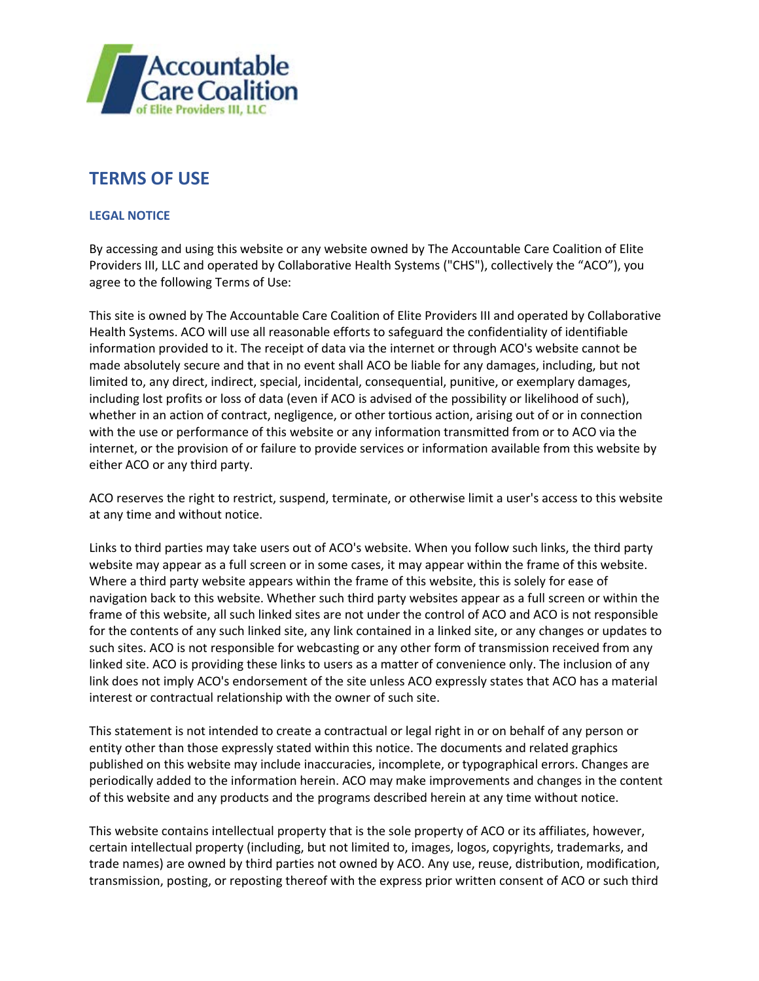

## **TERMS OF USE**

## **LEGAL NOTICE**

By accessing and using this website or any website owned by The Accountable Care Coalition of Elite Providers III, LLC and operated by Collaborative Health Systems ("CHS"), collectively the "ACO"), you agree to the following Terms of Use:

This site is owned by The Accountable Care Coalition of Elite Providers III and operated by Collaborative Health Systems. ACO will use all reasonable efforts to safeguard the confidentiality of identifiable information provided to it. The receipt of data via the internet or through ACO's website cannot be made absolutely secure and that in no event shall ACO be liable for any damages, including, but not limited to, any direct, indirect, special, incidental, consequential, punitive, or exemplary damages, including lost profits or loss of data (even if ACO is advised of the possibility or likelihood of such), whether in an action of contract, negligence, or other tortious action, arising out of or in connection with the use or performance of this website or any information transmitted from or to ACO via the internet, or the provision of or failure to provide services or information available from this website by either ACO or any third party.

ACO reserves the right to restrict, suspend, terminate, or otherwise limit a user's access to this website at any time and without notice.

Links to third parties may take users out of ACO's website. When you follow such links, the third party website may appear as a full screen or in some cases, it may appear within the frame of this website. Where a third party website appears within the frame of this website, this is solely for ease of navigation back to this website. Whether such third party websites appear as a full screen or within the frame of this website, all such linked sites are not under the control of ACO and ACO is not responsible for the contents of any such linked site, any link contained in a linked site, or any changes or updates to such sites. ACO is not responsible for webcasting or any other form of transmission received from any linked site. ACO is providing these links to users as a matter of convenience only. The inclusion of any link does not imply ACO's endorsement of the site unless ACO expressly states that ACO has a material interest or contractual relationship with the owner of such site.

This statement is not intended to create a contractual or legal right in or on behalf of any person or entity other than those expressly stated within this notice. The documents and related graphics published on this website may include inaccuracies, incomplete, or typographical errors. Changes are periodically added to the information herein. ACO may make improvements and changes in the content of this website and any products and the programs described herein at any time without notice.

This website contains intellectual property that is the sole property of ACO or its affiliates, however, certain intellectual property (including, but not limited to, images, logos, copyrights, trademarks, and trade names) are owned by third parties not owned by ACO. Any use, reuse, distribution, modification, transmission, posting, or reposting thereof with the express prior written consent of ACO or such third